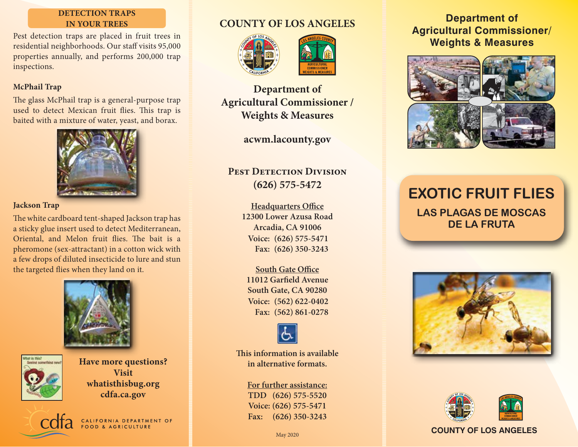### **DETECTION TRAPS IN YOUR TREES**

Pest detection traps are placed in fruit trees in residential neighborhoods. Our staff visits 95,000 properties annually, and performs 200,000 trap inspections.

### **McPhail Trap**

The glass McPhail trap is a general-purpose trap used to detect Mexican fruit flies. This trap is baited with a mixture of water, yeast, and borax.



### **Jackson Trap**

The white cardboard tent-shaped Jackson trap has a sticky glue insert used to detect Mediterranean, Oriental, and Melon fruit flies. The bait is a pheromone (sex-attractant) in a cotton wick with a few drops of diluted insecticide to lure and stun the targeted flies when they land on it.





**Have more questions? Visit whatisthisbug.org cdfa.ca.gov**

CALIFORNIA DEPARTMENT OF

## **COUNTY OF LOS ANGELES**





**Department of Agricultural Commissioner / Weights & Measures**

**acwm.lacounty.gov**

### **PEST DETECTION DIVISION (626) 575-5472**

**Headquarters Office 12300 Lower Azusa Road Arcadia, CA 91006 (626) 575-5471 Voice: (626) 350-3243 Fax:**

**South Gate Office 11012 Garfield Avenue South Gate, CA 90280 (562) 622-0402 Voice: (562) 861-0278 Fax:**



**This information is available in alternative formats.**

> **For further assistance: TDD (626) 575-5520 Voice: (626) 575-5471 Fax: (626) 350-3243**

### **Department of Agricultural Commissioner/ Weights & Measures**



# **EXOTIC FRUIT FLIES LAS PLAGAS DE MOSCAS DE LA FRUTA**





### May 2020 **COUNTY OF LOS ANGELES**